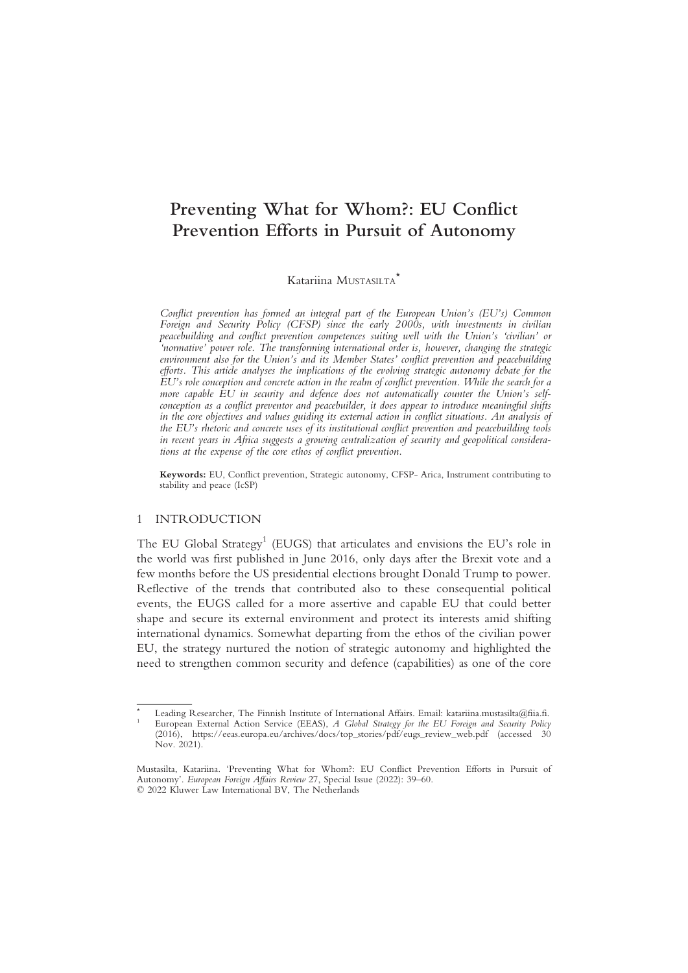# Prevention Efforts in Pursuit of Autonomy Prevention Efforts in Pursuit of Autonomy

Katariina MUSTASILTA\*

Conflict prevention has formed an integral part of the European Union's (EU's) Common Foreign and Security Policy (CFSP) since the early 2000s, with investments in civilian<br>peacebuilding and conflict prevention competences suiting well with the Union's 'civilian' or <sup>\*</sup>normative' power role. The transforming international order is, however, changing the strategic environment also for the Union's and its Member States' conflict prevention and peacebuilding efforts. This article analyses the implications of the evolving strategic autonomy debate for the EU's role conception and concrete action in the realm of conflict prevention. While the search for a more capable EU in security and defence does not automatically counter the Union's selfconception as a conflict preventor and peacebuilder, it does appear to introduce meaningful shifts in the core objectives and values guiding its external action in conflict situations. An analysis of the EU's rhetoric and concrete uses of its institutional conflict prevention and peacebuilding tools in recent years in Africa suggests a growing centralization of security and geopolitical considerations at the expense of the core ethos of conflict prevention.

Keywords: EU, Conflict prevention, Strategic autonomy, CFSP- Arica, Instrument contributing to stability and peace (IcSP)

#### 1 INTRODUCTION

The EU Global Strategy<sup>1</sup> (EUGS) that articulates and envisions the EU's role in the world was first published in June 2016, only days after the Brexit vote and a few months before the US presidential elections brought Donald Trump to power. Reflective of the trends that contributed also to these consequential political events, the EUGS called for a more assertive and capable EU that could better shape and secure its external environment and protect its interests amid shifting international dynamics. Somewhat departing from the ethos of the civilian power EU, the strategy nurtured the notion of strategic autonomy and highlighted the need to strengthen common security and defence (capabilities) as one of the core

Leading Researcher, The Finnish Institute of International Affairs. Email: katariina.mustasilta@fiia.fi. European External Action Service (EEAS), A Global Strategy for the EU Foreign and Security Policy (2016), https://eeas.europa.eu/archives/docs/top\_stories/pdf/eugs\_review\_web.pdf (accessed 30 Nov. 2021).

Mustasilta, Katariina. 'Preventing What for Whom?: EU Conflict Prevention Efforts in Pursuit of Autonomy'. European Foreign Affairs Review 27, Special Issue (2022): 39–60. © 2022 Kluwer Law International BV, The Netherlands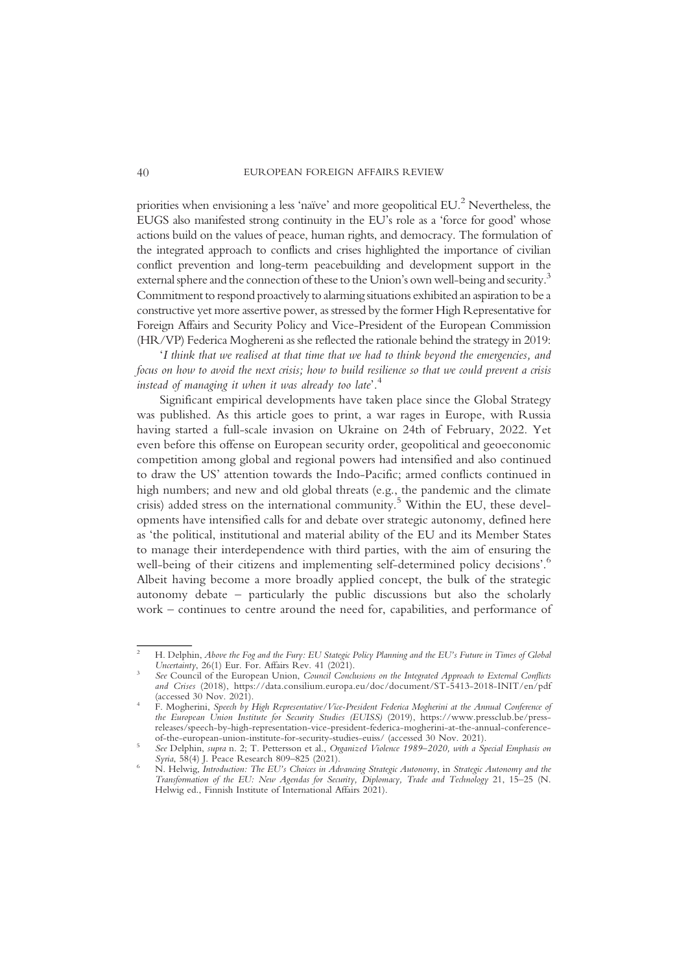priorities when envisioning a less 'naïve' and more geopolitical EU.2 Nevertheless, the EUGS also manifested strong continuity in the EU's role as a 'force for good' whose actions build on the values of peace, human rights, and democracy. The formulation of the integrated approach to conflicts and crises highlighted the importance of civilian conflict prevention and long-term peacebuilding and development support in the external sphere and the connection of these to the Union's own well-being and security.<sup>3</sup> Commitment to respond proactively to alarming situations exhibited an aspiration to be a constructive yet more assertive power, as stressed by the former High Representative for Foreign Affairs and Security Policy and Vice-President of the European Commission (HR/VP) Federica Mogherenias she reflected the rationale behind the strategy in 2019:

'I think that we realised at that time that we had to think beyond the emergencies, and focus on how to avoid the next crisis; how to build resilience so that we could prevent a crisis instead of managing it when it was already too late'. 4

Significant empirical developments have taken place since the Global Strategy was published. As this article goes to print, a war rages in Europe, with Russia having started a full-scale invasion on Ukraine on 24th of February, 2022. Yet even before this offense on European security order, geopolitical and geoeconomic competition among global and regional powers had intensified and also continued to draw the US' attention towards the Indo-Pacific; armed conflicts continued in high numbers; and new and old global threats (e.g., the pandemic and the climate crisis) added stress on the international community.<sup>5</sup> Within the EU, these developments have intensified calls for and debate over strategic autonomy, defined here as 'the political, institutional and material ability of the EU and its Member States to manage their interdependence with third parties, with the aim of ensuring the well-being of their citizens and implementing self-determined policy decisions'.<sup>6</sup> Albeit having become a more broadly applied concept, the bulk of the strategic autonomy debate – particularly the public discussions but also the scholarly work – continues to centre around the need for, capabilities, and performance of

H. Delphin, Above the Fog and the Fury: EU Stategic Policy Planning and the EU's Future in Times of Global Uncertainty, 26(1) Eur. For. Affairs Rev. 41 (2021).

See Council of the European Union, Council Conclusions on the Integrated Approach to External Conflicts and Crises (2018), https://data.consilium.europa.eu/doc/document/ST-5413-2018-INIT/en/pdf (accessed 30 Nov. 2021).

<sup>&</sup>lt;sup>4</sup> F. Mogherini, Speech by High Representative/Vice-President Federica Mogherini at the Annual Conference of the European Union Institute for Security Studies (EUISS) (2019), https://www.pressclub.be/pressreleases/speech-by-high-representation-vice-president-federica-mogherini-at-the-annual-conference-

Soft Delphin, supra n. 2; T. Pettersson et al., Organized Violence 1989–2020, with a Special Emphasis on<br>Syria, 58(4) J. Peace Research 809–825 (2021).

 $\sim$  N. Helwig, Introduction: The EU's Choices in Advancing Strategic Autonomy, in Strategic Autonomy and the Transformation of the EU: New Agendas for Security, Diplomacy, Trade and Technology 21, 15–25 (N. Helwig ed., Finnish Institute of International Affairs 2021).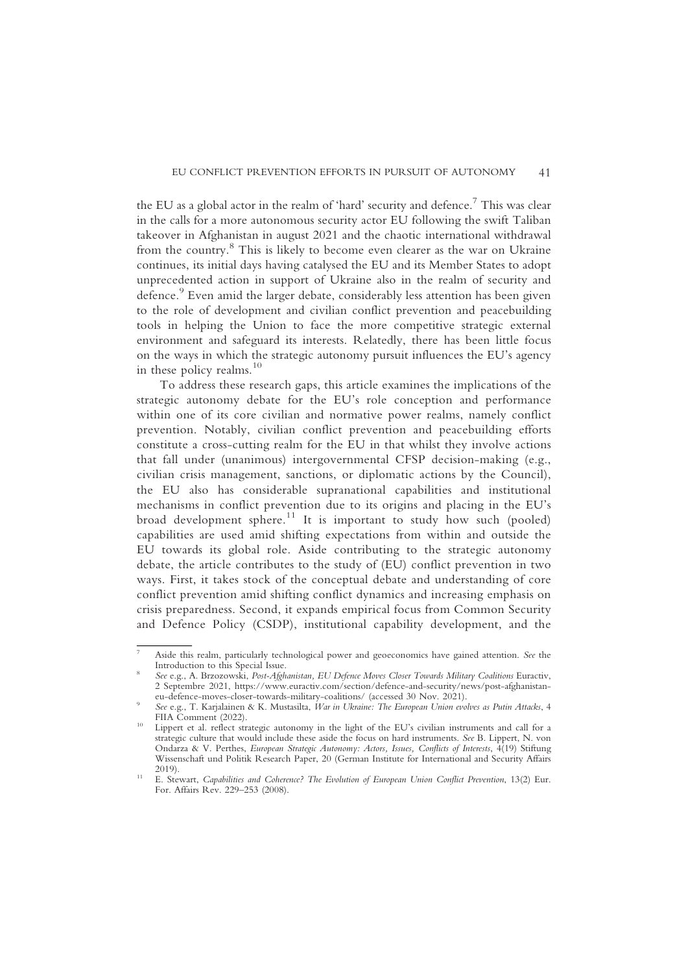the EU as a global actor in the realm of 'hard' security and defence.<sup>7</sup> This was clear in the calls for a more autonomous security actor EU following the swift Taliban takeover in Afghanistan in august 2021 and the chaotic international withdrawal from the country.<sup>8</sup> This is likely to become even clearer as the war on Ukraine continues, its initial days having catalysed the EU and its Member States to adopt unprecedented action in support of Ukraine also in the realm of security and defence.<sup>9</sup> Even amid the larger debate, considerably less attention has been given to the role of development and civilian conflict prevention and peacebuilding tools in helping the Union to face the more competitive strategic external environment and safeguard its interests. Relatedly, there has been little focus on the ways in which the strategic autonomy pursuit influences the EU's agency in these policy realms. $10$ 

To address these research gaps, this article examines the implications of the strategic autonomy debate for the EU's role conception and performance within one of its core civilian and normative power realms, namely conflict prevention. Notably, civilian conflict prevention and peacebuilding efforts constitute a cross-cutting realm for the EU in that whilst they involve actions that fall under (unanimous) intergovernmental CFSP decision-making (e.g., civilian crisis management, sanctions, or diplomatic actions by the Council), the EU also has considerable supranational capabilities and institutional mechanisms in conflict prevention due to its origins and placing in the EU's broad development sphere.<sup>11</sup> It is important to study how such (pooled) capabilities are used amid shifting expectations from within and outside the EU towards its global role. Aside contributing to the strategic autonomy debate, the article contributes to the study of (EU) conflict prevention in two ways. First, it takes stock of the conceptual debate and understanding of core conflict prevention amid shifting conflict dynamics and increasing emphasis on crisis preparedness. Second, it expands empirical focus from Common Security and Defence Policy (CSDP), institutional capability development, and the

Aside this realm, particularly technological power and geoeconomics have gained attention. See the Introduction to this Special Issue.

See e.g., A. Brzozowski, Post-Afghanistan, EU Defence Moves Closer Towards Military Coalitions Euractiv, 2 Septembre 2021, https://www.euractiv.com/section/defence-and-security/news/post-afghanistan-

<sup>&</sup>lt;sup>9</sup> See e.g., T. Karjalainen & K. Mustasilta, *War in Ukraine: The European Union evolves as Putin Attacks*, 4 FIIA Comment (2022).

<sup>&</sup>lt;sup>10</sup> Lippert et al. reflect strategic autonomy in the light of the EU's civilian instruments and call for a strategic culture that would include these aside the focus on hard instruments. See B. Lippert, N. von Ondarza & V. Perthes, European Strategic Autonomy: Actors, Issues, Conflicts of Interests, 4(19) Stiftung Wissenschaft und Politik Research Paper, 20 (German Institute for International and Security Affairs

<sup>&</sup>lt;sup>11</sup> E. Stewart, Capabilities and Coherence? The Evolution of European Union Conflict Prevention, 13(2) Eur. For. Affairs Rev. 229–253 (2008).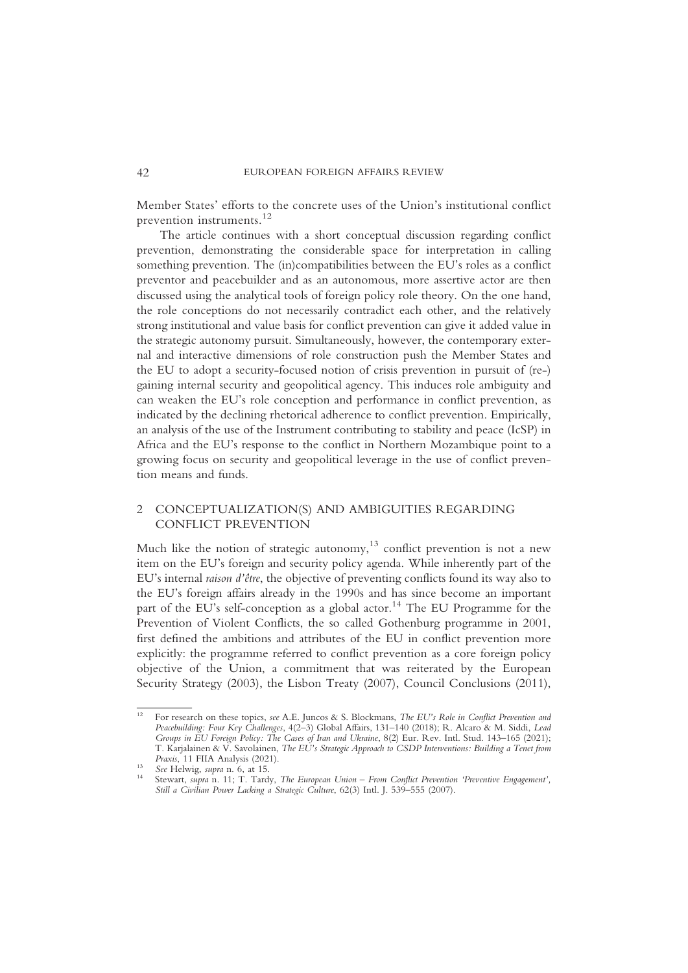Member States' efforts to the concrete uses of the Union's institutional conflict prevention instruments.<sup>12</sup>

The article continues with a short conceptual discussion regarding conflict prevention, demonstrating the considerable space for interpretation in calling something prevention. The (in)compatibilities between the EU's roles as a conflict preventor and peacebuilder and as an autonomous, more assertive actor are then discussed using the analytical tools of foreign policy role theory. On the one hand, the role conceptions do not necessarily contradict each other, and the relatively strong institutional and value basis for conflict prevention can give it added value in the strategic autonomy pursuit. Simultaneously, however, the contemporary external and interactive dimensions of role construction push the Member States and the EU to adopt a security-focused notion of crisis prevention in pursuit of (re-) gaining internal security and geopolitical agency. This induces role ambiguity and can weaken the EU's role conception and performance in conflict prevention, as indicated by the declining rhetorical adherence to conflict prevention. Empirically, an analysis of the use of the Instrument contributing to stability and peace (IcSP) in Africa and the EU's response to the conflict in Northern Mozambique point to a growing focus on security and geopolitical leverage in the use of conflict prevention means and funds.

## 2 CONCEPTUALIZATION(S) AND AMBIGUITIES REGARDING CONFLICT PREVENTION

Much like the notion of strategic autonomy, $13$  conflict prevention is not a new item on the EU's foreign and security policy agenda. While inherently part of the EU's internal raison d'être, the objective of preventing conflicts found its way also to the EU's foreign affairs already in the 1990s and has since become an important part of the EU's self-conception as a global actor.<sup>14</sup> The EU Programme for the Prevention of Violent Conflicts, the so called Gothenburg programme in 2001, first defined the ambitions and attributes of the EU in conflict prevention more explicitly: the programme referred to conflict prevention as a core foreign policy objective of the Union, a commitment that was reiterated by the European Security Strategy (2003), the Lisbon Treaty (2007), Council Conclusions (2011),

<sup>&</sup>lt;sup>12</sup> For research on these topics, see A.E. Juncos & S. Blockmans, *The EU's Role in Conflict Prevention and* Peacebuilding: Four Key Challenges, 4(2–3) Global Affairs, 131–140 (2018); R. Alcaro & M. Siddi, Lead Groups in EU Foreign Policy: The Cases of Iran and Ukraine, 8(2) Eur. Rev. Intl. Stud. 143–165 (2021); T. Karjalainen & V. Savolainen, *The EU's Strategic Approach to CSDP Interventions: Building a Tenet from Praxis*, 11 FIIA Analysis (2021).

<sup>&</sup>lt;sup>13</sup> See Helwig, supra n. 6, at 15.<br><sup>14</sup> Stewart, supra n. 11; T. Tardy, *The European Union – From Conflict Prevention 'Preventive Engagement'*, Still a Civilian Power Lacking a Strategic Culture, 62(3) Intl. J. 539–555 (2007).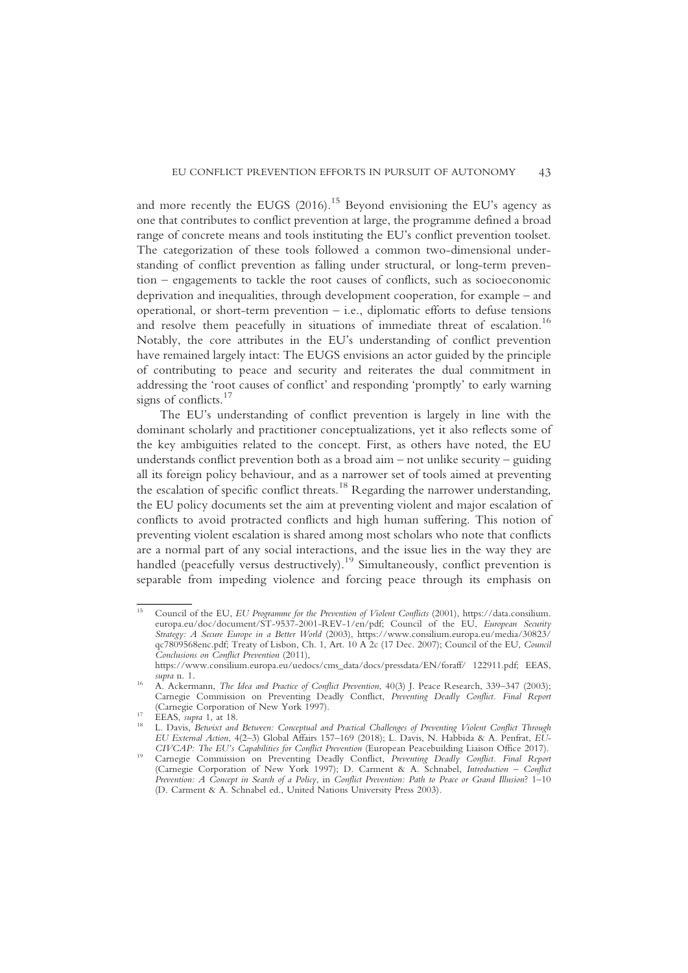and more recently the EUGS  $(2016)$ .<sup>15</sup> Beyond envisioning the EU's agency as one that contributes to conflict prevention at large, the programme defined a broad range of concrete means and tools instituting the EU's conflict prevention toolset. The categorization of these tools followed a common two-dimensional understanding of conflict prevention as falling under structural, or long-term prevention – engagements to tackle the root causes of conflicts, such as socioeconomic deprivation and inequalities, through development cooperation, for example – and operational, or short-term prevention – i.e., diplomatic efforts to defuse tensions and resolve them peacefully in situations of immediate threat of escalation.<sup>16</sup> Notably, the core attributes in the EU's understanding of conflict prevention have remained largely intact: The EUGS envisions an actor guided by the principle of contributing to peace and security and reiterates the dual commitment in addressing the 'root causes of conflict' and responding 'promptly' to early warning signs of conflicts. $17$ 

The EU's understanding of conflict prevention is largely in line with the dominant scholarly and practitioner conceptualizations, yet it also reflects some of the key ambiguities related to the concept. First, as others have noted, the EU understands conflict prevention both as a broad  $\dim -$  not unlike security – guiding all its foreign policy behaviour, and as a narrower set of tools aimed at preventing the escalation of specific conflict threats.<sup>18</sup> Regarding the narrower understanding, the EU policy documents set the aim at preventing violent and major escalation of conflicts to avoid protracted conflicts and high human suffering. This notion of preventing violent escalation is shared among most scholars who note that conflicts are a normal part of any social interactions, and the issue lies in the way they are handled (peacefully versus destructively).<sup>19</sup> Simultaneously, conflict prevention is separable from impeding violence and forcing peace through its emphasis on

<sup>15</sup> Council of the EU, EU Programme for the Prevention of Violent Conflicts (2001), https://data.consilium. europa.eu/doc/document/ST-9537-2001-REV-1/en/pdf; Council of the EU, European Security Strategy: A Secure Europe in a Better World (2003), https://www.consilium.europa.eu/media/30823/ qc7809568enc.pdf; Treaty of Lisbon, Ch. 1, Art. 10 A 2c (17 Dec. 2007); Council of the EU, Council Conclusions on Conflict Prevention (2011),

https://www.consilium.europa.eu/uedocs/cms\_data/docs/pressdata/EN/foraff/ 122911.pdf; EEAS, supra n. 1.<br><sup>16</sup> A. Ackermann, *The Idea and Practice of Conflict Prevention*, 40(3) J. Peace Research, 339–347 (2003);

Carnegie Commission on Preventing Deadly Conflict, Preventing Deadly Conflict. Final Report

<sup>(</sup>Carnegie Corporation of New York 1997).<br>17 EEAS, supra 1, at 18. 18<br>18 L. Davis, Betwixt and Between: Conceptual and Practical Challenges of Preventing Violent Conflict Through EU External Action, 4(2–3) Global Affairs 157–169 (2018); L. Davis, N. Habbida & A. Penfrat, EU-

CIVCAP: The EU's Capabilities for Conflict Prevention (European Peacebuilding Liaison Office 2017). <sup>19</sup> Carnegie Commission on Preventing Deadly Conflict, Preventing Deadly Conflict. Final Report (Carnegie Corporation of New York 1997); D. Carment & A. Schnabel, Introduction – Conflict Prevention: A Concept in Search of a Policy, in Conflict Prevention: Path to Peace or Grand Illusion? 1-10 (D. Carment & A. Schnabel ed., United Nations University Press 2003).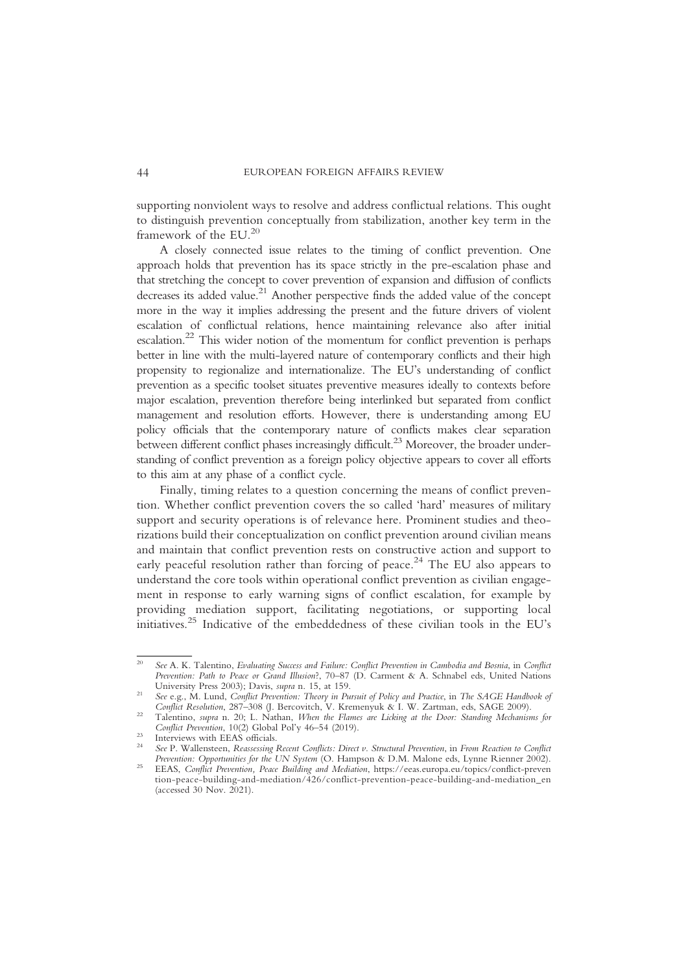supporting nonviolent ways to resolve and address conflictual relations. This ought to distinguish prevention conceptually from stabilization, another key term in the framework of the EU.20

A closely connected issue relates to the timing of conflict prevention. One approach holds that prevention has its space strictly in the pre-escalation phase and that stretching the concept to cover prevention of expansion and diffusion of conflicts decreases its added value.<sup>21</sup> Another perspective finds the added value of the concept more in the way it implies addressing the present and the future drivers of violent escalation of conflictual relations, hence maintaining relevance also after initial escalation.22 This wider notion of the momentum for conflict prevention is perhaps better in line with the multi-layered nature of contemporary conflicts and their high propensity to regionalize and internationalize. The EU's understanding of conflict prevention as a specific toolset situates preventive measures ideally to contexts before major escalation, prevention therefore being interlinked but separated from conflict management and resolution efforts. However, there is understanding among EU policy officials that the contemporary nature of conflicts makes clear separation between different conflict phases increasingly difficult.<sup>23</sup> Moreover, the broader understanding of conflict prevention as a foreign policy objective appears to cover all efforts to this aim at any phase of a conflict cycle.

Finally, timing relates to a question concerning the means of conflict prevention. Whether conflict prevention covers the so called 'hard' measures of military support and security operations is of relevance here. Prominent studies and theorizations build their conceptualization on conflict prevention around civilian means and maintain that conflict prevention rests on constructive action and support to early peaceful resolution rather than forcing of peace.<sup>24</sup> The EU also appears to understand the core tools within operational conflict prevention as civilian engagement in response to early warning signs of conflict escalation, for example by providing mediation support, facilitating negotiations, or supporting local initiatives.<sup>25</sup> Indicative of the embeddedness of these civilian tools in the EU's

<sup>&</sup>lt;sup>20</sup> See A. K. Talentino, Evaluating Success and Failure: Conflict Prevention in Cambodia and Bosnia, in Conflict Prevention: Path to Peace or Grand Illusion?, 70–87 (D. Carment & A. Schnabel eds, United Nations University Press 2003); Davis, supra n. 15, at 159.

<sup>&</sup>lt;sup>21</sup> See e.g., M. Lund, *Conflict Prevention: Theory in Pursuit of Policy and Practice*, in *The SAGE Handbook of Conflict Resolution*, 287–308 (J. Bercovitch, V. Kremenyuk & I. W. Zartman, eds, SAGE 2009).

<sup>&</sup>lt;sup>22</sup> Talentino, *supra* n. 20; L. Nathan, *When the Flames are Licking at the Door: Standing Mechanisms for Conflict Prevention*, 10(2) Global Pol'y 46–54 (2019).

<sup>&</sup>lt;sup>23</sup> Interviews with EEAS officials.<br><sup>24</sup> See P. Wallensteen, Reassessing Recent Conflicts: Direct v. Structural Prevention, in From Reaction to Conflict<br>Prevention: Opportunities for the UN System (O. Hampson & D.M. Malo

Prevention: Opportunities for the UN System (O. Hampson & D.M. Malone eds, Lynne Rienner 2002). <sup>25</sup> EEAS, Conflict Prevention, Peace Building and Mediation, https://eeas.europa.eu/topics/conflict-preven tion-peace-building-and-mediation/426/conflict-prevention-peace-building-and-mediation\_en (accessed 30 Nov. 2021).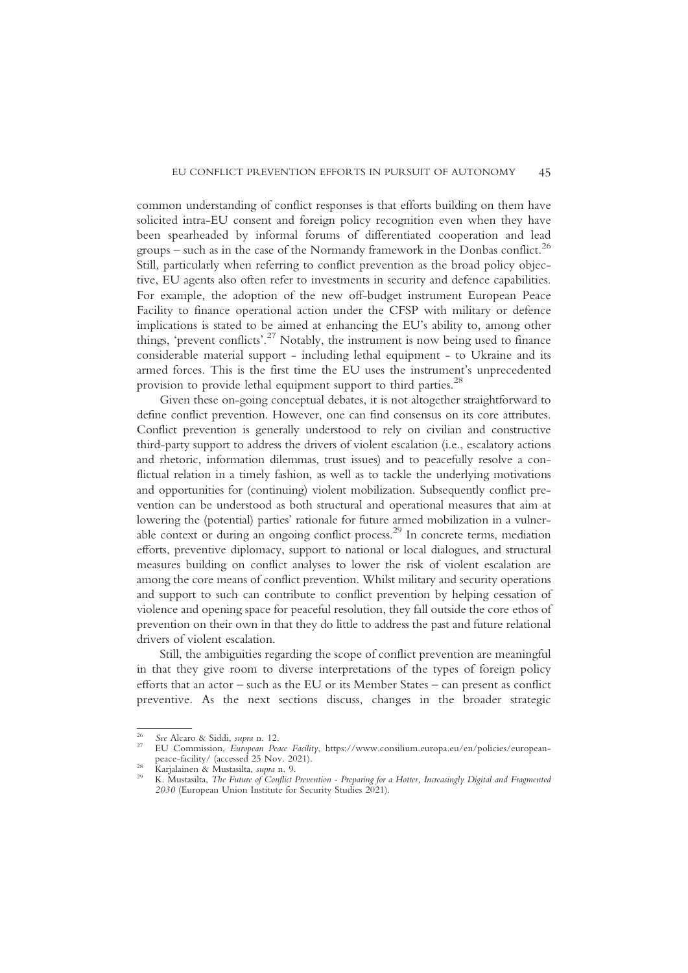common understanding of conflict responses is that efforts building on them have solicited intra-EU consent and foreign policy recognition even when they have been spearheaded by informal forums of differentiated cooperation and lead groups – such as in the case of the Normandy framework in the Donbas conflict.<sup>26</sup> Still, particularly when referring to conflict prevention as the broad policy objective, EU agents also often refer to investments in security and defence capabilities. For example, the adoption of the new off-budget instrument European Peace Facility to finance operational action under the CFSP with military or defence implications is stated to be aimed at enhancing the EU's ability to, among other things, 'prevent conflicts'. <sup>27</sup> Notably, the instrument is now being used to finance considerable material support - including lethal equipment - to Ukraine and its armed forces. This is the first time the EU uses the instrument's unprecedented provision to provide lethal equipment support to third parties.<sup>28</sup>

Given these on-going conceptual debates, it is not altogether straightforward to define conflict prevention. However, one can find consensus on its core attributes. Conflict prevention is generally understood to rely on civilian and constructive third-party support to address the drivers of violent escalation (i.e., escalatory actions and rhetoric, information dilemmas, trust issues) and to peacefully resolve a conflictual relation in a timely fashion, as well as to tackle the underlying motivations and opportunities for (continuing) violent mobilization. Subsequently conflict prevention can be understood as both structural and operational measures that aim at lowering the (potential) parties' rationale for future armed mobilization in a vulnerable context or during an ongoing conflict process.29 In concrete terms, mediation efforts, preventive diplomacy, support to national or local dialogues, and structural measures building on conflict analyses to lower the risk of violent escalation are among the core means of conflict prevention. Whilst military and security operations and support to such can contribute to conflict prevention by helping cessation of violence and opening space for peaceful resolution, they fall outside the core ethos of prevention on their own in that they do little to address the past and future relational drivers of violent escalation.

Still, the ambiguities regarding the scope of conflict prevention are meaningful in that they give room to diverse interpretations of the types of foreign policy efforts that an actor – such as the EU or its Member States – can present as conflict preventive. As the next sections discuss, changes in the broader strategic

<sup>&</sup>lt;sup>26</sup> See Alcaro & Siddi, *supra* n. 12.<br><sup>27</sup> EU Commission, *European Peace Facility*, https://www.consilium.europa.eu/en/policies/european-<br>peace-facility/ (accessed 25 Nov. 2021).

peace-tacility/ (accessed 25 Nov. 2021).<br><sup>28</sup> Karjalainen & Mustasilta, *supra* n. 9.<br><sup>29</sup> K. Mustasilta, *The Future of Conflict Prevention - Preparing for a Hotter, Increasingly Digital and Fragmented* 2030 (European Union Institute for Security Studies 2021).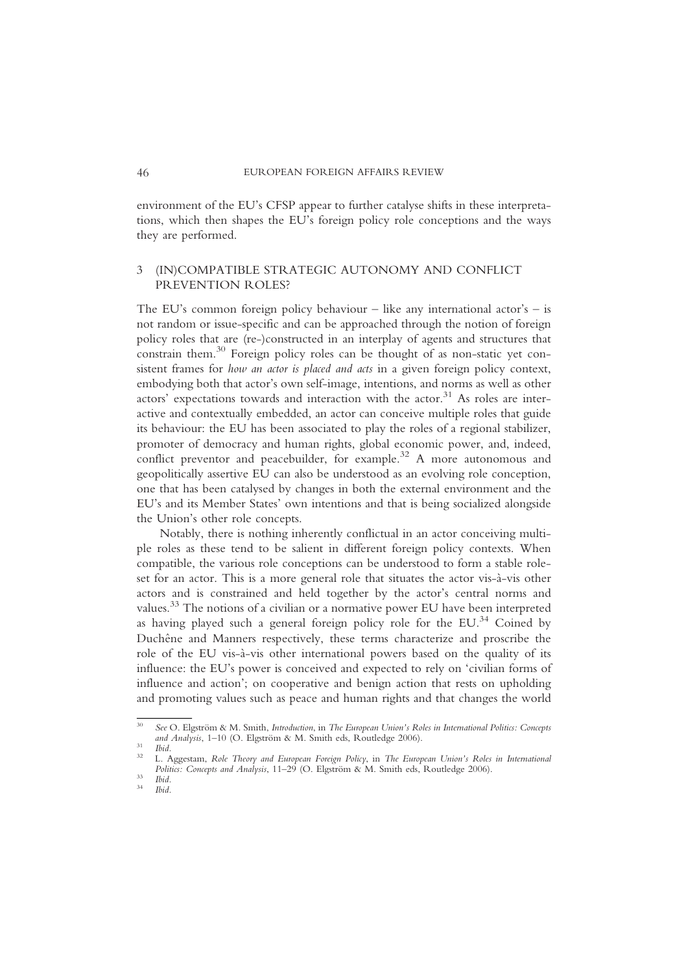environment of the EU's CFSP appear to further catalyse shifts in these interpretations, which then shapes the EU's foreign policy role conceptions and the ways they are performed.

## 3 (IN)COMPATIBLE STRATEGIC AUTONOMY AND CONFLICT PREVENTION ROLES?

The EU's common foreign policy behaviour – like any international actor's – is not random or issue-specific and can be approached through the notion of foreign policy roles that are (re-)constructed in an interplay of agents and structures that constrain them.<sup>30</sup> Foreign policy roles can be thought of as non-static yet consistent frames for how an actor is placed and acts in a given foreign policy context, embodying both that actor's own self-image, intentions, and norms as well as other actors' expectations towards and interaction with the actor.<sup>31</sup> As roles are interactive and contextually embedded, an actor can conceive multiple roles that guide its behaviour: the EU has been associated to play the roles of a regional stabilizer, promoter of democracy and human rights, global economic power, and, indeed, conflict preventor and peacebuilder, for example.<sup>32</sup> A more autonomous and geopolitically assertive EU can also be understood as an evolving role conception, one that has been catalysed by changes in both the external environment and the EU's and its Member States' own intentions and that is being socialized alongside the Union's other role concepts.

Notably, there is nothing inherently conflictual in an actor conceiving multiple roles as these tend to be salient in different foreign policy contexts. When compatible, the various role conceptions can be understood to form a stable roleset for an actor. This is a more general role that situates the actor vis-à-vis other actors and is constrained and held together by the actor's central norms and values.<sup>33</sup> The notions of a civilian or a normative power EU have been interpreted as having played such a general foreign policy role for the EU. $^{34}$  Coined by Duchêne and Manners respectively, these terms characterize and proscribe the role of the EU vis-à-vis other international powers based on the quality of its influence: the EU's power is conceived and expected to rely on 'civilian forms of influence and action'; on cooperative and benign action that rests on upholding and promoting values such as peace and human rights and that changes the world

<sup>&</sup>lt;sup>30</sup> See O. Elgström & M. Smith, *Introduction*, in *The European Union's Roles in International Politics: Concepts* and *Analysis*, 1–10 (O. Elgström & M. Smith eds, Routledge 2006).

and Analysis, 1–10 (O. Elgström & M. Smith eds, Routledge 2006).<br>32 L. Aggestam, Role Theory and European Foreign Policy, in The European Union's Roles in International Politics: Concepts and Analysis, 11–29 (O. Elgström & M. Smith eds, Routledge 2006).<br><sup>33</sup> Ibid. <sup>34</sup> Ibid.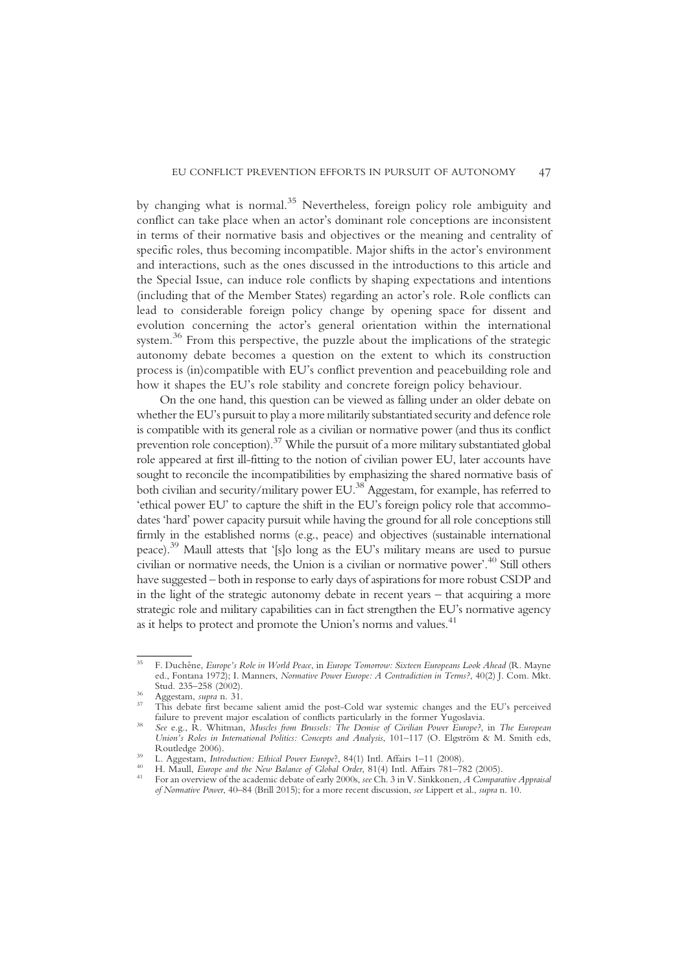by changing what is normal.<sup>35</sup> Nevertheless, foreign policy role ambiguity and conflict can take place when an actor's dominant role conceptions are inconsistent in terms of their normative basis and objectives or the meaning and centrality of specific roles, thus becoming incompatible. Major shifts in the actor's environment and interactions, such as the ones discussed in the introductions to this article and the Special Issue, can induce role conflicts by shaping expectations and intentions (including that of the Member States) regarding an actor's role. Role conflicts can lead to considerable foreign policy change by opening space for dissent and evolution concerning the actor's general orientation within the international system.<sup>36</sup> From this perspective, the puzzle about the implications of the strategic autonomy debate becomes a question on the extent to which its construction process is (in)compatible with EU's conflict prevention and peacebuilding role and how it shapes the EU's role stability and concrete foreign policy behaviour.

On the one hand, this question can be viewed as falling under an older debate on whether the EU's pursuit to play a more militarily substantiated security and defence role is compatible with its general role as a civilian or normative power (and thus its conflict prevention role conception).37 While the pursuit of a more military substantiated global role appeared at first ill-fitting to the notion of civilian power EU, later accounts have sought to reconcile the incompatibilities by emphasizing the shared normative basis of both civilian and security/military power EU.38 Aggestam, for example, has referred to 'ethical power EU' to capture the shift in the EU's foreign policy role that accommodates 'hard' power capacity pursuit while having the ground for all role conceptions still firmly in the established norms (e.g., peace) and objectives (sustainable international peace).39 Maull attests that '[s]o long as the EU's military means are used to pursue civilian or normative needs, the Union is a civilian or normative power'. <sup>40</sup> Still others have suggested – both in response to early days of aspirations for more robust CSDP and in the light of the strategic autonomy debate in recent years – that acquiring a more strategic role and military capabilities can in fact strengthen the EU's normative agency as it helps to protect and promote the Union's norms and values.<sup>41</sup>

<sup>&</sup>lt;sup>35</sup> F. Duchêne, *Europe's Role in World Peace*, in *Europe Tomorrow: Sixteen Europeans Look Ahead* (R. Mayne ed., Fontana 1972); I. Manners, *Normative Power Europe: A Contradiction in Terms?*, 40(2) J. Com. Mkt.<br>Stud. 235–258 (2002).

 $\frac{36}{37}$  Aggestam, *supra* n. 31.<br><sup>37</sup> This debate first became salient amid the post-Cold war systemic changes and the EU's perceived failure to prevent major escalation of conflicts particularly in the former Yugoslavia.<br><sup>38</sup> See e.g., R. Whitman, *Muscles from Brussels: The Demise of Civilian Power Europe?*, in *The European* 

Union's Roles in International Politics: Concepts and Analysis, 101-117 (O. Elgström & M. Smith eds, Routledge 2006).

<sup>&</sup>lt;sup>39</sup> L. Aggestam, *Introduction: Ethical Power Europe?*, 84(1) Intl. Affairs 1–11 (2008).<br><sup>40</sup> H. Maull, *Europe and the New Balance of Global Order*, 81(4) Intl. Affairs 781–782 (2005).<br><sup>41</sup> For an overview of the academi of Normative Power, 40–84 (Brill 2015); for a more recent discussion, see Lippert et al., supra n. 10.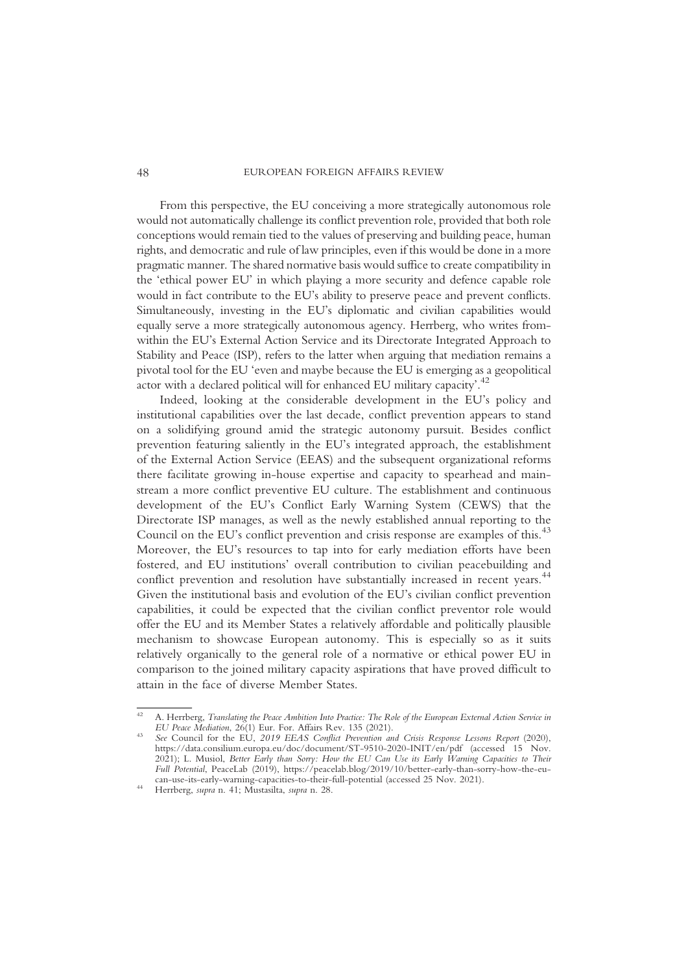48 EUROPEAN FOREIGN AFFAIRS REVIEW

From this perspective, the EU conceiving a more strategically autonomous role would not automatically challenge its conflict prevention role, provided that both role conceptions would remain tied to the values of preserving and building peace, human rights, and democratic and rule of law principles, even if this would be done in a more pragmatic manner. The shared normative basis would suffice to create compatibility in the 'ethical power EU' in which playing a more security and defence capable role would in fact contribute to the EU's ability to preserve peace and prevent conflicts. Simultaneously, investing in the EU's diplomatic and civilian capabilities would equally serve a more strategically autonomous agency. Herrberg, who writes fromwithin the EU's External Action Service and its Directorate Integrated Approach to Stability and Peace (ISP), refers to the latter when arguing that mediation remains a pivotal tool for the EU 'even and maybe because the EU is emerging as a geopolitical actor with a declared political will for enhanced EU military capacity'.<sup>42</sup>

Indeed, looking at the considerable development in the EU's policy and institutional capabilities over the last decade, conflict prevention appears to stand on a solidifying ground amid the strategic autonomy pursuit. Besides conflict prevention featuring saliently in the EU's integrated approach, the establishment of the External Action Service (EEAS) and the subsequent organizational reforms there facilitate growing in-house expertise and capacity to spearhead and mainstream a more conflict preventive EU culture. The establishment and continuous development of the EU's Conflict Early Warning System (CEWS) that the Directorate ISP manages, as well as the newly established annual reporting to the Council on the EU's conflict prevention and crisis response are examples of this.<sup>43</sup> Moreover, the EU's resources to tap into for early mediation efforts have been fostered, and EU institutions' overall contribution to civilian peacebuilding and conflict prevention and resolution have substantially increased in recent years.<sup>44</sup> Given the institutional basis and evolution of the EU's civilian conflict prevention capabilities, it could be expected that the civilian conflict preventor role would offer the EU and its Member States a relatively affordable and politically plausible mechanism to showcase European autonomy. This is especially so as it suits relatively organically to the general role of a normative or ethical power EU in comparison to the joined military capacity aspirations that have proved difficult to attain in the face of diverse Member States.

<sup>&</sup>lt;sup>42</sup> A. Herrberg, *Translating the Peace Ambition Into Practice: The Role of the European External Action Service in EU Peace Mediation, 26(1) Eur. For. Affairs Rev. 135 (2021).* 

<sup>&</sup>lt;sup>43</sup> See Council for the EU, 2019 EEAS Conflict Prevention and Crisis Response Lessons Report (2020), https://data.consilium.europa.eu/doc/document/ST-9510-2020-INIT/en/pdf (accessed 15 Nov. 2021); L. Musiol, Better Early than Sorry: How the EU Can Use its Early Warning Capacities to Their Full Potential, PeaceLab (2019), https://peacelab.blog/2019/10/better-early-than-sorry-how-the-eucan-use-its-early-warning-capacities-to-their-full-potential (accessed 25 Nov. 2021). <sup>44</sup> Herrberg, supra n. 41; Mustasilta, supra n. 28.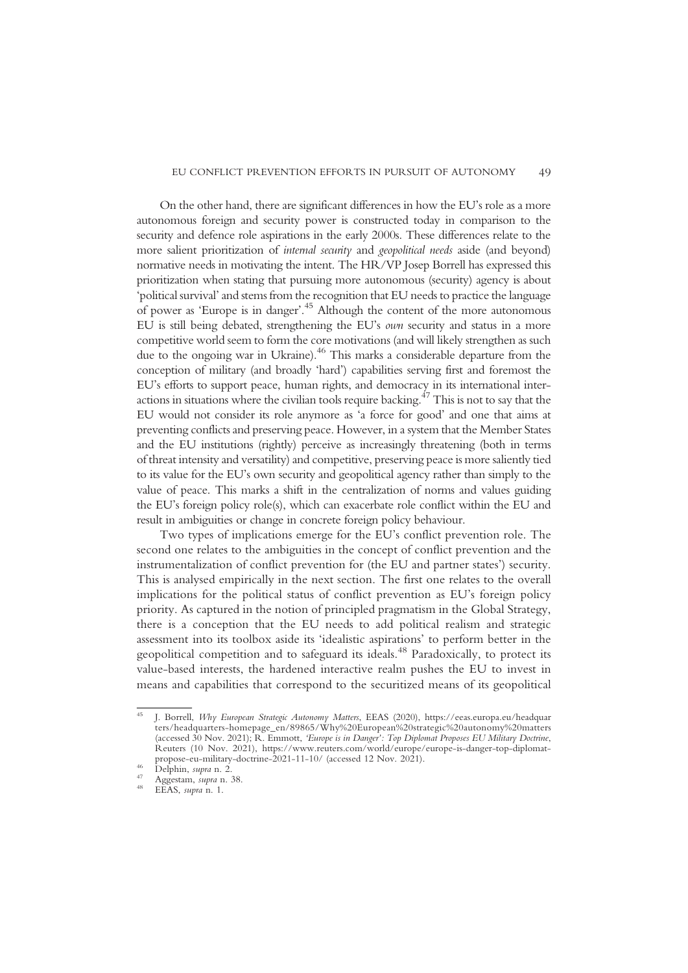On the other hand, there are significant differences in how the EU's role as a more autonomous foreign and security power is constructed today in comparison to the security and defence role aspirations in the early 2000s. These differences relate to the more salient prioritization of internal security and geopolitical needs aside (and beyond) normative needs in motivating the intent. The HR/VP Josep Borrell has expressed this prioritization when stating that pursuing more autonomous (security) agency is about 'political survival'and stems from the recognition that EU needs to practice the language of power as 'Europe is in danger'. <sup>45</sup> Although the content of the more autonomous EU is still being debated, strengthening the EU's own security and status in a more competitive world seem to form the core motivations (and will likely strengthen as such due to the ongoing war in Ukraine).46 This marks a considerable departure from the conception of military (and broadly 'hard') capabilities serving first and foremost the EU's efforts to support peace, human rights, and democracy in its international interactions in situations where the civilian tools require backing.<sup> $47$ </sup> This is not to say that the EU would not consider its role anymore as 'a force for good' and one that aims at preventing conflicts and preserving peace. However, in a system that the Member States and the EU institutions (rightly) perceive as increasingly threatening (both in terms of threat intensity and versatility) and competitive, preserving peace is more saliently tied to its value for the EU's own security and geopolitical agency rather than simply to the value of peace. This marks a shift in the centralization of norms and values guiding the EU's foreign policy role(s), which can exacerbate role conflict within the EU and result in ambiguities or change in concrete foreign policy behaviour.

Two types of implications emerge for the EU's conflict prevention role. The second one relates to the ambiguities in the concept of conflict prevention and the instrumentalization of conflict prevention for (the EU and partner states') security. This is analysed empirically in the next section. The first one relates to the overall implications for the political status of conflict prevention as EU's foreign policy priority. As captured in the notion of principled pragmatism in the Global Strategy, there is a conception that the EU needs to add political realism and strategic assessment into its toolbox aside its 'idealistic aspirations' to perform better in the geopolitical competition and to safeguard its ideals.<sup>48</sup> Paradoxically, to protect its value-based interests, the hardened interactive realm pushes the EU to invest in means and capabilities that correspond to the securitized means of its geopolitical

<sup>45</sup> J. Borrell, Why European Strategic Autonomy Matters, EEAS (2020), https://eeas.europa.eu/headquar ters/headquarters-homepage\_en/89865/Why%20European%20strategic%20autonomy%20matters (accessed 30 Nov. 2021); R. Emmott, 'Europe is in Danger': Top Diplomat Proposes EU Military Doctrine, Reuters (10 Nov. 2021), https://www.reuters.com/world/europe/europe-is-danger-top-diplomatpropose-eu-military-doctrine-2021-11-10/ (accessed 12 Nov. 2021).<br>
<sup>46</sup> Delphin, *supra* n. 2.<br>
<sup>47</sup> Aggestam, *supra* n. 38.<br>
<sup>48</sup> EEAS, *supra* n. 1.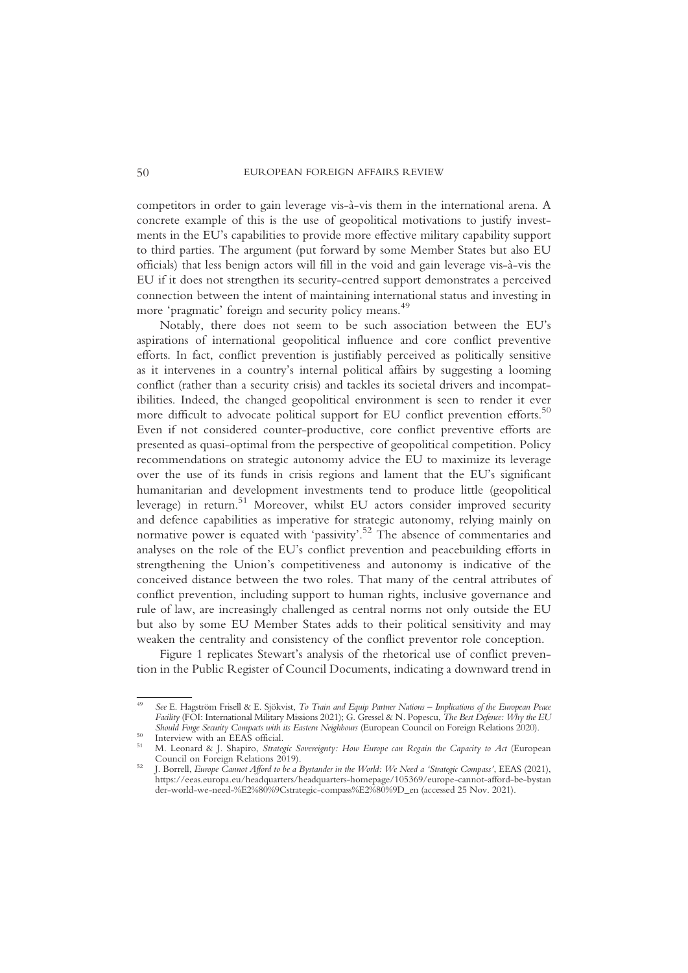competitors in order to gain leverage vis-à-vis them in the international arena. A concrete example of this is the use of geopolitical motivations to justify investments in the EU's capabilities to provide more effective military capability support to third parties. The argument (put forward by some Member States but also EU officials) that less benign actors will fill in the void and gain leverage vis-à-vis the EU if it does not strengthen its security-centred support demonstrates a perceived connection between the intent of maintaining international status and investing in more 'pragmatic' foreign and security policy means.<sup>49</sup>

Notably, there does not seem to be such association between the EU's aspirations of international geopolitical influence and core conflict preventive efforts. In fact, conflict prevention is justifiably perceived as politically sensitive as it intervenes in a country's internal political affairs by suggesting a looming conflict (rather than a security crisis) and tackles its societal drivers and incompatibilities. Indeed, the changed geopolitical environment is seen to render it ever more difficult to advocate political support for EU conflict prevention efforts.<sup>50</sup> Even if not considered counter-productive, core conflict preventive efforts are presented as quasi-optimal from the perspective of geopolitical competition. Policy recommendations on strategic autonomy advice the EU to maximize its leverage over the use of its funds in crisis regions and lament that the EU's significant humanitarian and development investments tend to produce little (geopolitical leverage) in return.<sup>51</sup> Moreover, whilst EU actors consider improved security and defence capabilities as imperative for strategic autonomy, relying mainly on normative power is equated with 'passivity'. <sup>52</sup> The absence of commentaries and analyses on the role of the EU's conflict prevention and peacebuilding efforts in strengthening the Union's competitiveness and autonomy is indicative of the conceived distance between the two roles. That many of the central attributes of conflict prevention, including support to human rights, inclusive governance and rule of law, are increasingly challenged as central norms not only outside the EU but also by some EU Member States adds to their political sensitivity and may weaken the centrality and consistency of the conflict preventor role conception.

Figure 1 replicates Stewart's analysis of the rhetorical use of conflict prevention in the Public Register of Council Documents, indicating a downward trend in

<sup>&</sup>lt;sup>49</sup> See E. Hagström Frisell & E. Sjökvist, To Train and Equip Partner Nations – Implications of the European Peace Facility (FOI: International Military Missions 2021); G. Gressel & N. Popescu, The Best Defence: Why the EU Should Forge Security Compacts with its Eastern Neighbours (European Council on Foreign Relations 2020).

<sup>&</sup>lt;sup>50</sup> Interview with an EEAS official.<br>
<sup>51</sup> M. Leonard & J. Shapiro, *Strategic Sovereignty: How Europe can Regain the Capacity to Act* (European Council on Foreign Relations 2019).

<sup>&</sup>lt;sup>52</sup> J. Borrell, Europe Cannot Afford to be a Bystander in the World: We Need a 'Strategic Compass', EEAS (2021), https://eeas.europa.eu/headquarters/headquarters-homepage/105369/europe-cannot-afford-be-bystan der-world-we-need-%E2%80%9Cstrategic-compass%E2%80%9D\_en (accessed 25 Nov. 2021).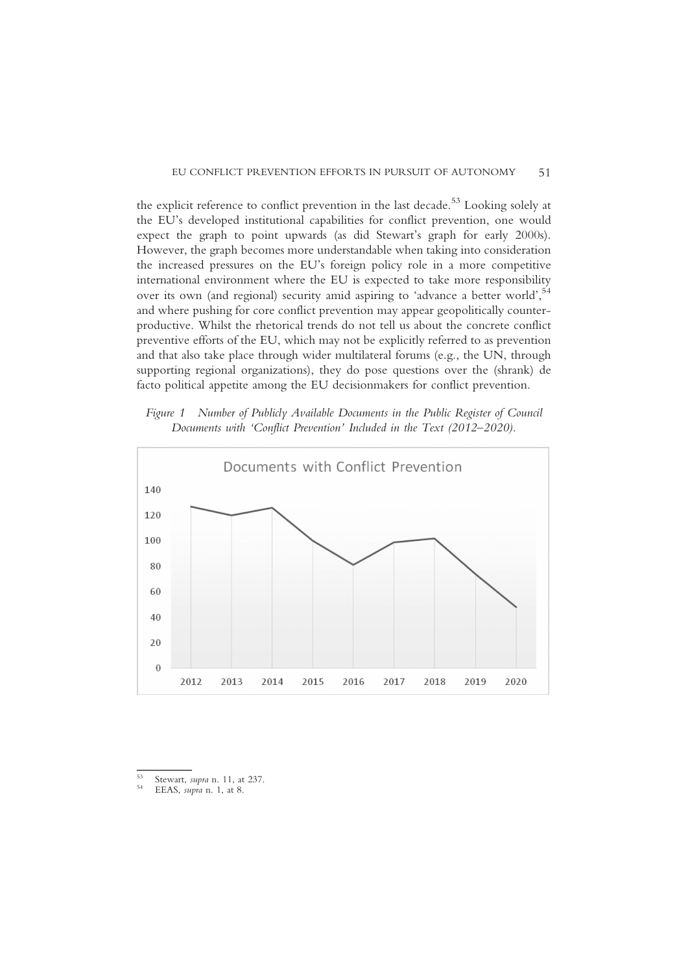the explicit reference to conflict prevention in the last decade.<sup>53</sup> Looking solely at the EU's developed institutional capabilities for conflict prevention, one would expect the graph to point upwards (as did Stewart's graph for early 2000s). However, the graph becomes more understandable when taking into consideration the increased pressures on the EU's foreign policy role in a more competitive international environment where the EU is expected to take more responsibility over its own (and regional) security amid aspiring to 'advance a better world',<sup>54</sup> and where pushing for core conflict prevention may appear geopolitically counterproductive. Whilst the rhetorical trends do not tell us about the concrete conflict preventive efforts of the EU, which may not be explicitly referred to as prevention and that also take place through wider multilateral forums (e.g., the UN, through supporting regional organizations), they do pose questions over the (shrank) de facto political appetite among the EU decisionmakers for conflict prevention.

Figure 1 Number of Publicly Available Documents in the Public Register of Council Documents with 'Conflict Prevention' Included in the Text (2012–2020).



<sup>53</sup> Stewart, *supra* n. 11, at 237.<br>54 EEAS, *supra* n. 1, at 8.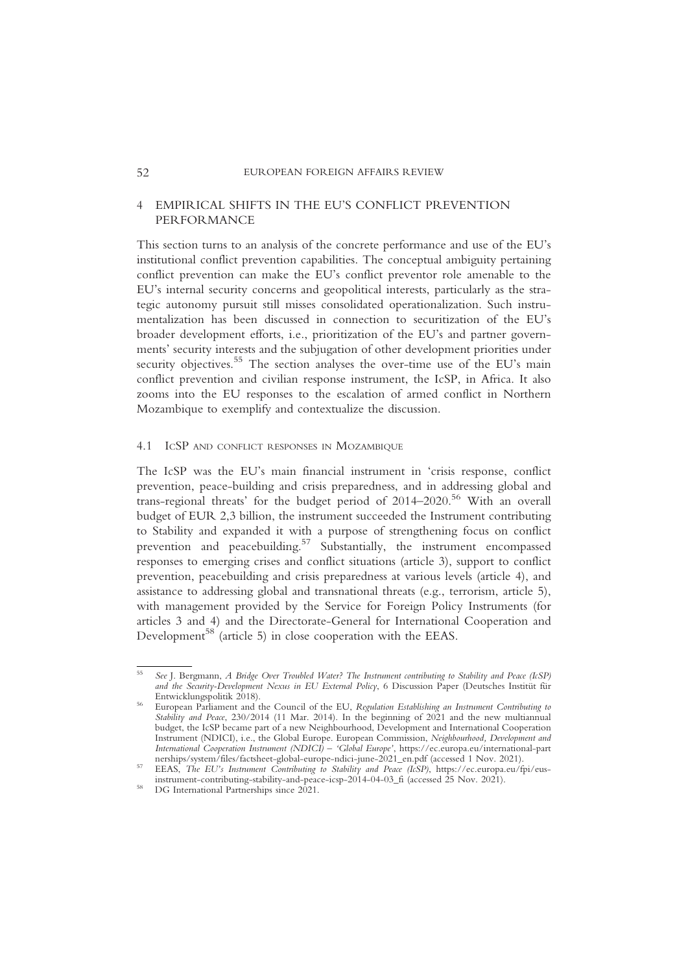## 4 EMPIRICAL SHIFTS IN THE EU'S CONFLICT PREVENTION PERFORMANCE

This section turns to an analysis of the concrete performance and use of the EU's institutional conflict prevention capabilities. The conceptual ambiguity pertaining conflict prevention can make the EU's conflict preventor role amenable to the EU's internal security concerns and geopolitical interests, particularly as the strategic autonomy pursuit still misses consolidated operationalization. Such instrumentalization has been discussed in connection to securitization of the EU's broader development efforts, i.e., prioritization of the EU's and partner governments' security interests and the subjugation of other development priorities under security objectives.<sup>55</sup> The section analyses the over-time use of the EU's main conflict prevention and civilian response instrument, the IcSP, in Africa. It also zooms into the EU responses to the escalation of armed conflict in Northern Mozambique to exemplify and contextualize the discussion.

#### 4.1 ICSP AND CONFLICT RESPONSES IN MOZAMBIQUE

The IcSP was the EU's main financial instrument in 'crisis response, conflict prevention, peace-building and crisis preparedness, and in addressing global and trans-regional threats' for the budget period of 2014–2020.56 With an overall budget of EUR 2,3 billion, the instrument succeeded the Instrument contributing to Stability and expanded it with a purpose of strengthening focus on conflict prevention and peacebuilding.57 Substantially, the instrument encompassed responses to emerging crises and conflict situations (article 3), support to conflict prevention, peacebuilding and crisis preparedness at various levels (article 4), and assistance to addressing global and transnational threats (e.g., terrorism, article 5), with management provided by the Service for Foreign Policy Instruments (for articles 3 and 4) and the Directorate-General for International Cooperation and Development<sup>58</sup> (article 5) in close cooperation with the EEAS.

<sup>55</sup> See J. Bergmann, A Bridge Over Troubled Water? The Instrument contributing to Stability and Peace (IcSP) and the Security-Development Nexus in EU External Policy, 6 Discussion Paper (Deutsches Institut für Entwicklungspolitik 2018).

<sup>&</sup>lt;sup>56</sup> European Parliament and the Council of the EU, Regulation Establishing an Instrument Contributing to Stability and Peace, 230/2014 (11 Mar. 2014). In the beginning of 2021 and the new multiannual budget, the IcSP became part of a new Neighbourhood, Development and International Cooperation Instrument (NDICI), i.e., the Global Europe. European Commission, Neighbourhood, Development and International Cooperation Instrument (NDICI) – 'Global Europe', https://ec.europa.eu/international-part<br>nerships/system/files/factsheet-global-europe-ndici-june-2021\_en.pdf (accessed 1 Nov. 2021).

nerships/system/files/factsheet-global-europe-ndici-june-2022\_mpde/meet-global-en.pdf (accessed 1 Nov. 2021). 57 EEAS, The EU's Instrument Contributing to Stability and Peace (IcSP), https://ec.europa.eu/fpi/eusinstrument-contributing-stability-and-peace-icsp-2014-04-03\_fi (accessed 25 Nov. 2021). <sup>58</sup> DG International Partnerships since 2021.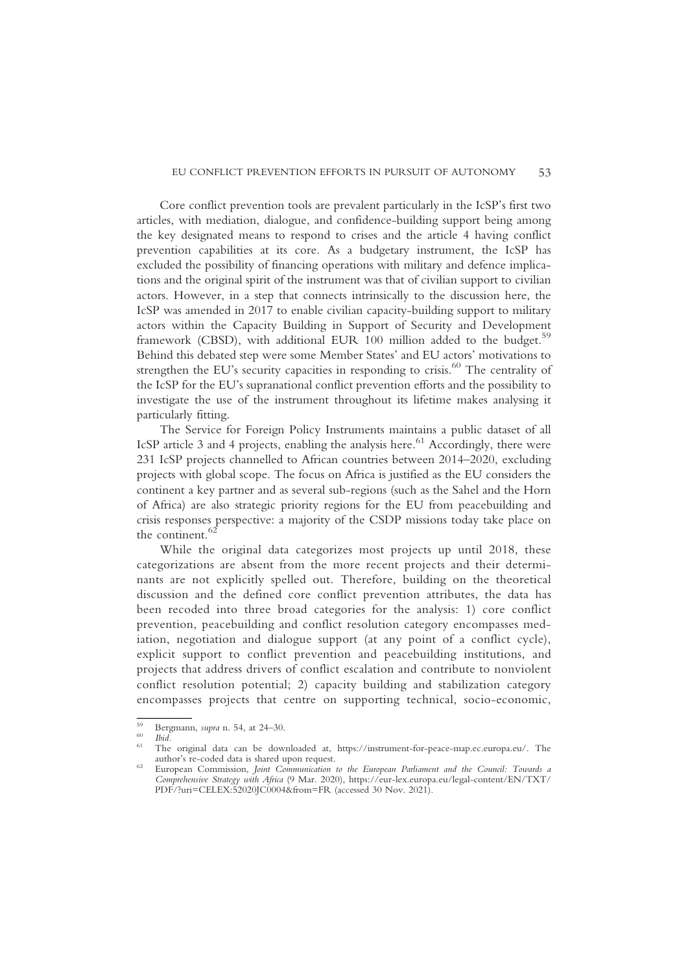Core conflict prevention tools are prevalent particularly in the IcSP's first two articles, with mediation, dialogue, and confidence-building support being among the key designated means to respond to crises and the article 4 having conflict prevention capabilities at its core. As a budgetary instrument, the IcSP has excluded the possibility of financing operations with military and defence implications and the original spirit of the instrument was that of civilian support to civilian actors. However, in a step that connects intrinsically to the discussion here, the IcSP was amended in 2017 to enable civilian capacity-building support to military actors within the Capacity Building in Support of Security and Development framework (CBSD), with additional EUR 100 million added to the budget.<sup>59</sup> Behind this debated step were some Member States' and EU actors' motivations to strengthen the EU's security capacities in responding to crisis.<sup>60</sup> The centrality of the IcSP for the EU's supranational conflict prevention efforts and the possibility to investigate the use of the instrument throughout its lifetime makes analysing it particularly fitting.

The Service for Foreign Policy Instruments maintains a public dataset of all IcSP article 3 and 4 projects, enabling the analysis here.<sup>61</sup> Accordingly, there were 231 IcSP projects channelled to African countries between 2014–2020, excluding projects with global scope. The focus on Africa is justified as the EU considers the continent a key partner and as several sub-regions (such as the Sahel and the Horn of Africa) are also strategic priority regions for the EU from peacebuilding and crisis responses perspective: a majority of the CSDP missions today take place on the continent. $62$ 

While the original data categorizes most projects up until 2018, these categorizations are absent from the more recent projects and their determinants are not explicitly spelled out. Therefore, building on the theoretical discussion and the defined core conflict prevention attributes, the data has been recoded into three broad categories for the analysis: 1) core conflict prevention, peacebuilding and conflict resolution category encompasses mediation, negotiation and dialogue support (at any point of a conflict cycle), explicit support to conflict prevention and peacebuilding institutions, and projects that address drivers of conflict escalation and contribute to nonviolent conflict resolution potential; 2) capacity building and stabilization category encompasses projects that centre on supporting technical, socio-economic,

<sup>59</sup> Bergmann, *supra* n. 54, at 24–30.<br>
<sup>60</sup> *Ibid.*<br>
<sup>61</sup> The original data can be downloaded at, https://instrument-for-peace-map.ec.europa.eu/. The author's re-coded data is shared upon request.

<sup>&</sup>lt;sup>62</sup> European Commission, Joint Communication to the European Parliament and the Council: Towards a Comprehensive Strategy with Africa (9 Mar. 2020), https://eur-lex.europa.eu/legal-content/EN/TXT/ PDF/?uri=CELEX:52020JC0004&from=FR (accessed 30 Nov. 2021).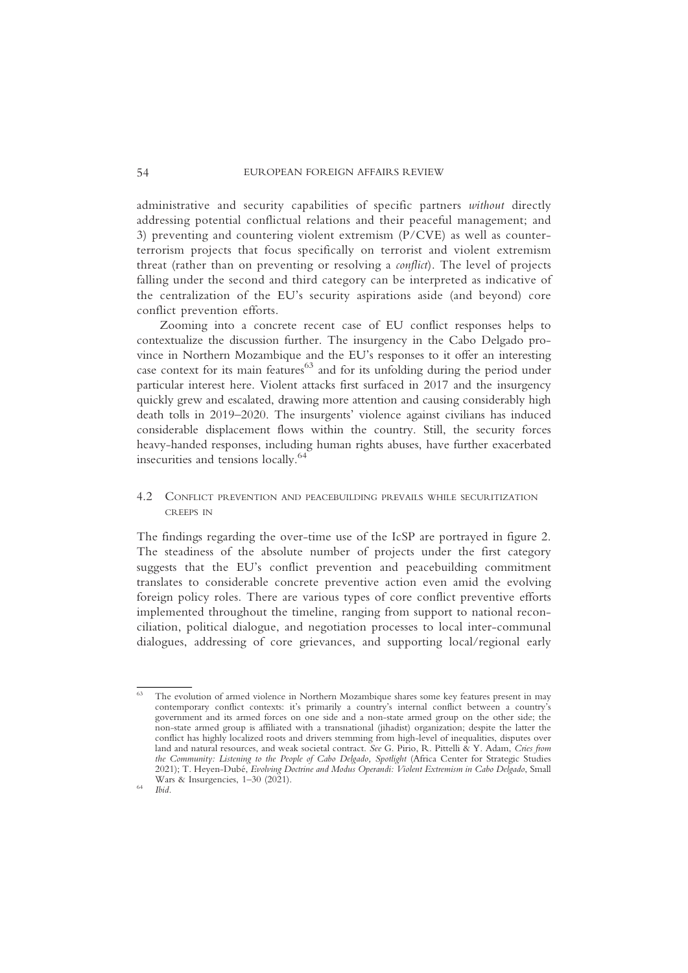administrative and security capabilities of specific partners without directly addressing potential conflictual relations and their peaceful management; and 3) preventing and countering violent extremism (P/CVE) as well as counterterrorism projects that focus specifically on terrorist and violent extremism threat (rather than on preventing or resolving a conflict). The level of projects falling under the second and third category can be interpreted as indicative of the centralization of the EU's security aspirations aside (and beyond) core conflict prevention efforts.

Zooming into a concrete recent case of EU conflict responses helps to contextualize the discussion further. The insurgency in the Cabo Delgado province in Northern Mozambique and the EU's responses to it offer an interesting case context for its main features $63$  and for its unfolding during the period under particular interest here. Violent attacks first surfaced in 2017 and the insurgency quickly grew and escalated, drawing more attention and causing considerably high death tolls in 2019–2020. The insurgents' violence against civilians has induced considerable displacement flows within the country. Still, the security forces heavy-handed responses, including human rights abuses, have further exacerbated insecurities and tensions locally.<sup>64</sup>

## 4.2 CONFLICT PREVENTION AND PEACEBUILDING PREVAILS WHILE SECURITIZATION CREEPS IN

The findings regarding the over-time use of the IcSP are portrayed in figure 2. The steadiness of the absolute number of projects under the first category suggests that the EU's conflict prevention and peacebuilding commitment translates to considerable concrete preventive action even amid the evolving foreign policy roles. There are various types of core conflict preventive efforts implemented throughout the timeline, ranging from support to national reconciliation, political dialogue, and negotiation processes to local inter-communal dialogues, addressing of core grievances, and supporting local/regional early

<sup>&</sup>lt;sup>63</sup> The evolution of armed violence in Northern Mozambique shares some key features present in may contemporary conflict contexts: it's primarily a country's internal conflict between a country's government and its armed forces on one side and a non-state armed group on the other side; the non-state armed group is affiliated with a transnational (jihadist) organization; despite the latter the conflict has highly localized roots and drivers stemming from high-level of inequalities, disputes over land and natural resources, and weak societal contract. See G. Pirio, R. Pittelli & Y. Adam, Cries from the Community: Listening to the People of Cabo Delgado, Spotlight (Africa Center for Strategic Studies 2021); T. Heyen-Dubé, Evolving Doctrine and Modus Operandi: Violent Extremism in Cabo Delgado, Small Wars & Insurgencies,  $1-30$  (2021).<br>  $\frac{64}{100}$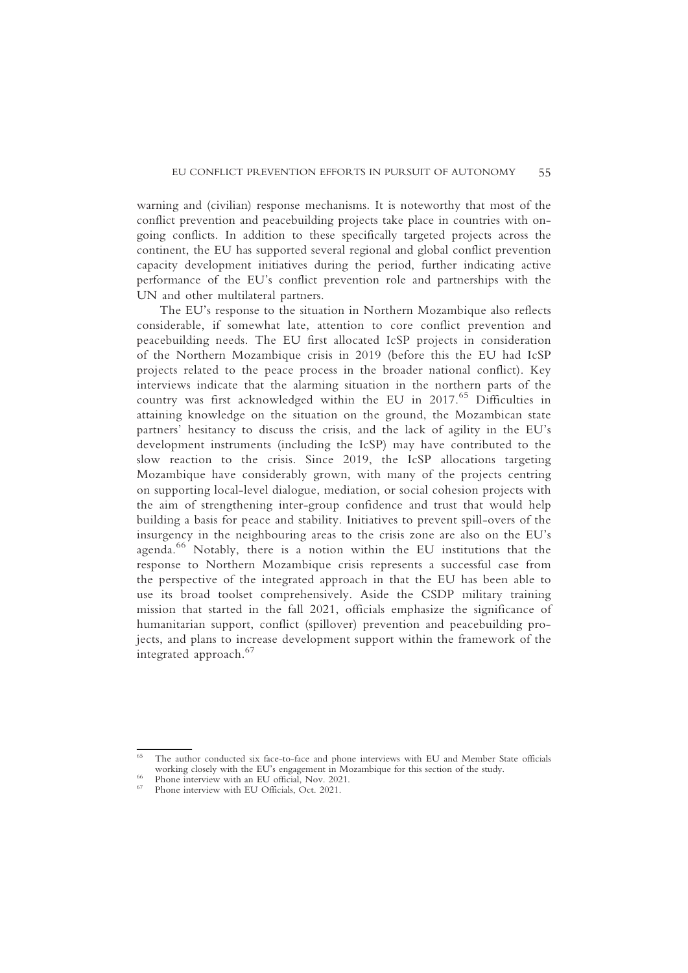warning and (civilian) response mechanisms. It is noteworthy that most of the conflict prevention and peacebuilding projects take place in countries with ongoing conflicts. In addition to these specifically targeted projects across the continent, the EU has supported several regional and global conflict prevention capacity development initiatives during the period, further indicating active performance of the EU's conflict prevention role and partnerships with the UN and other multilateral partners.

The EU's response to the situation in Northern Mozambique also reflects considerable, if somewhat late, attention to core conflict prevention and peacebuilding needs. The EU first allocated IcSP projects in consideration of the Northern Mozambique crisis in 2019 (before this the EU had IcSP projects related to the peace process in the broader national conflict). Key interviews indicate that the alarming situation in the northern parts of the country was first acknowledged within the EU in 2017.<sup>65</sup> Difficulties in attaining knowledge on the situation on the ground, the Mozambican state partners' hesitancy to discuss the crisis, and the lack of agility in the EU's development instruments (including the IcSP) may have contributed to the slow reaction to the crisis. Since 2019, the IcSP allocations targeting Mozambique have considerably grown, with many of the projects centring on supporting local-level dialogue, mediation, or social cohesion projects with the aim of strengthening inter-group confidence and trust that would help building a basis for peace and stability. Initiatives to prevent spill-overs of the insurgency in the neighbouring areas to the crisis zone are also on the EU's agenda.<sup>66</sup> Notably, there is a notion within the EU institutions that the response to Northern Mozambique crisis represents a successful case from the perspective of the integrated approach in that the EU has been able to use its broad toolset comprehensively. Aside the CSDP military training mission that started in the fall 2021, officials emphasize the significance of humanitarian support, conflict (spillover) prevention and peacebuilding projects, and plans to increase development support within the framework of the integrated approach.<sup>67</sup>

<sup>&</sup>lt;sup>65</sup> The author conducted six face-to-face and phone interviews with EU and Member State officials working closely with the EU's engagement in Mozambique for this section of the study.<br><sup>66</sup> Phone interview with an EU official, Nov. 2021.<br><sup>67</sup> Phone interview with EU Officials, Oct. 2021.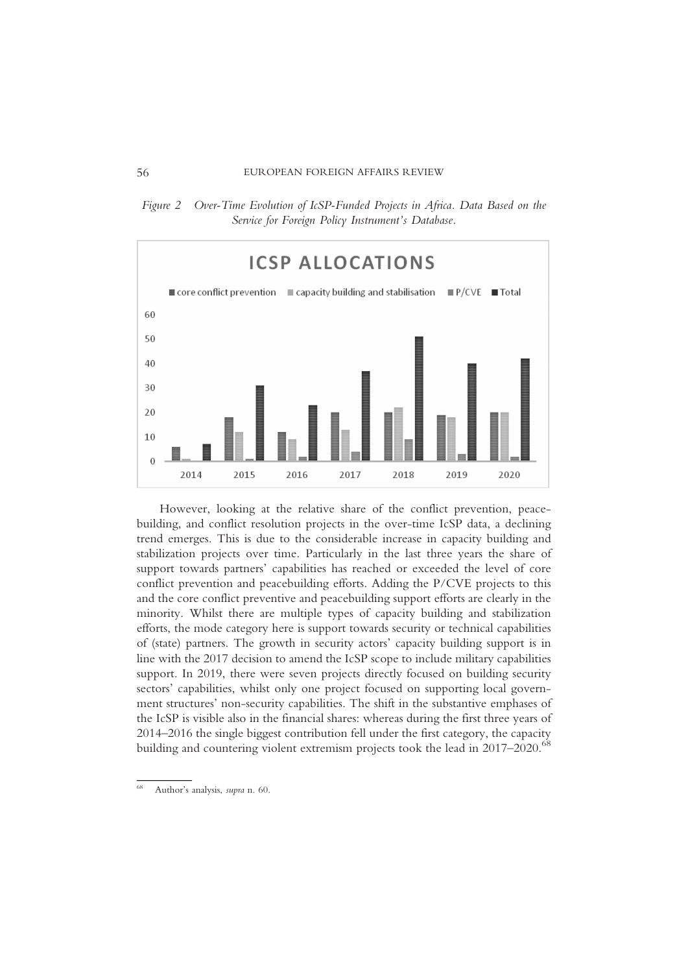Figure 2 Over-Time Evolution of IcSP-Funded Projects in Africa. Data Based on the Service for Foreign Policy Instrument's Database.



However, looking at the relative share of the conflict prevention, peacebuilding, and conflict resolution projects in the over-time IcSP data, a declining trend emerges. This is due to the considerable increase in capacity building and stabilization projects over time. Particularly in the last three years the share of support towards partners' capabilities has reached or exceeded the level of core conflict prevention and peacebuilding efforts. Adding the P/CVE projects to this and the core conflict preventive and peacebuilding support efforts are clearly in the minority. Whilst there are multiple types of capacity building and stabilization efforts, the mode category here is support towards security or technical capabilities of (state) partners. The growth in security actors' capacity building support is in line with the 2017 decision to amend the IcSP scope to include military capabilities support. In 2019, there were seven projects directly focused on building security sectors' capabilities, whilst only one project focused on supporting local government structures' non-security capabilities. The shift in the substantive emphases of the IcSP is visible also in the financial shares: whereas during the first three years of 2014–2016 the single biggest contribution fell under the first category, the capacity building and countering violent extremism projects took the lead in 2017–2020.<sup>68</sup>

<sup>68</sup> Author's analysis, supra n. 60.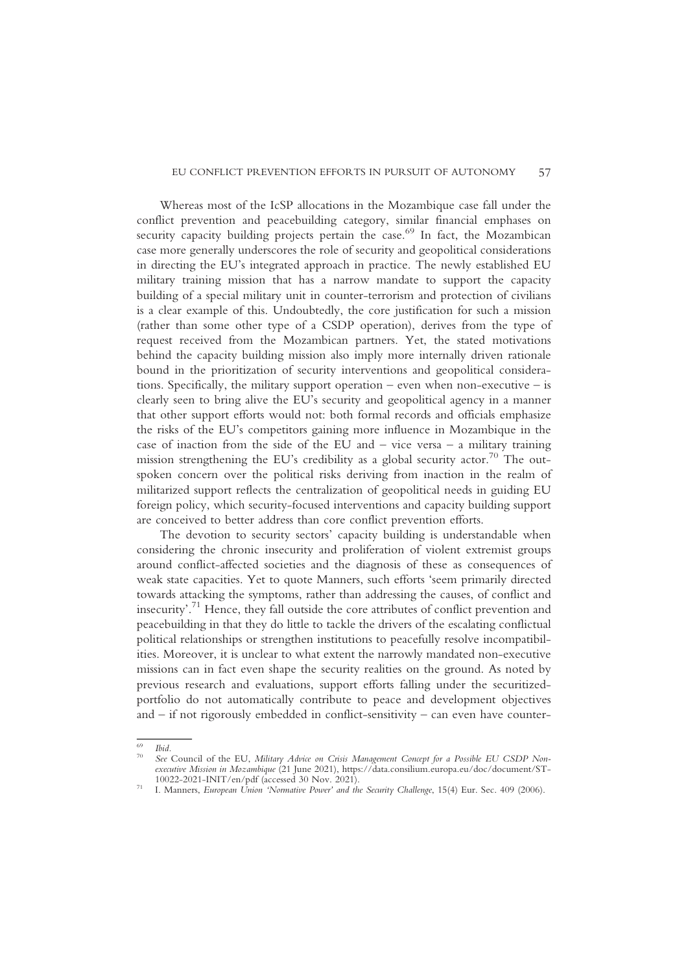Whereas most of the IcSP allocations in the Mozambique case fall under the conflict prevention and peacebuilding category, similar financial emphases on security capacity building projects pertain the case.<sup>69</sup> In fact, the Mozambican case more generally underscores the role of security and geopolitical considerations in directing the EU's integrated approach in practice. The newly established EU military training mission that has a narrow mandate to support the capacity building of a special military unit in counter-terrorism and protection of civilians is a clear example of this. Undoubtedly, the core justification for such a mission (rather than some other type of a CSDP operation), derives from the type of request received from the Mozambican partners. Yet, the stated motivations behind the capacity building mission also imply more internally driven rationale bound in the prioritization of security interventions and geopolitical considerations. Specifically, the military support operation – even when non-executive – is clearly seen to bring alive the EU's security and geopolitical agency in a manner that other support efforts would not: both formal records and officials emphasize the risks of the EU's competitors gaining more influence in Mozambique in the case of inaction from the side of the EU and  $-$  vice versa  $-$  a military training mission strengthening the EU's credibility as a global security actor.<sup>70</sup> The outspoken concern over the political risks deriving from inaction in the realm of militarized support reflects the centralization of geopolitical needs in guiding EU foreign policy, which security-focused interventions and capacity building support are conceived to better address than core conflict prevention efforts.

The devotion to security sectors' capacity building is understandable when considering the chronic insecurity and proliferation of violent extremist groups around conflict-affected societies and the diagnosis of these as consequences of weak state capacities. Yet to quote Manners, such efforts 'seem primarily directed towards attacking the symptoms, rather than addressing the causes, of conflict and insecurity'. <sup>71</sup> Hence, they fall outside the core attributes of conflict prevention and peacebuilding in that they do little to tackle the drivers of the escalating conflictual political relationships or strengthen institutions to peacefully resolve incompatibilities. Moreover, it is unclear to what extent the narrowly mandated non-executive missions can in fact even shape the security realities on the ground. As noted by previous research and evaluations, support efforts falling under the securitizedportfolio do not automatically contribute to peace and development objectives and – if not rigorously embedded in conflict-sensitivity – can even have counter-

<sup>&</sup>lt;sup>69</sup> Ibid.<br><sup>70</sup> See Council of the EU, Military Advice on Crisis Management Concept for a Possible EU CSDP Nonexecutive Mission in Mozambique (21 June 2021), https://data.consilium.europa.eu/doc/document/ST-10022-2021-INIT/en/pdf (accessed 30 Nov. 2021).

 $10^{71}$  I. Manners, European Union 'Normative Power' and the Security Challenge, 15(4) Eur. Sec. 409 (2006).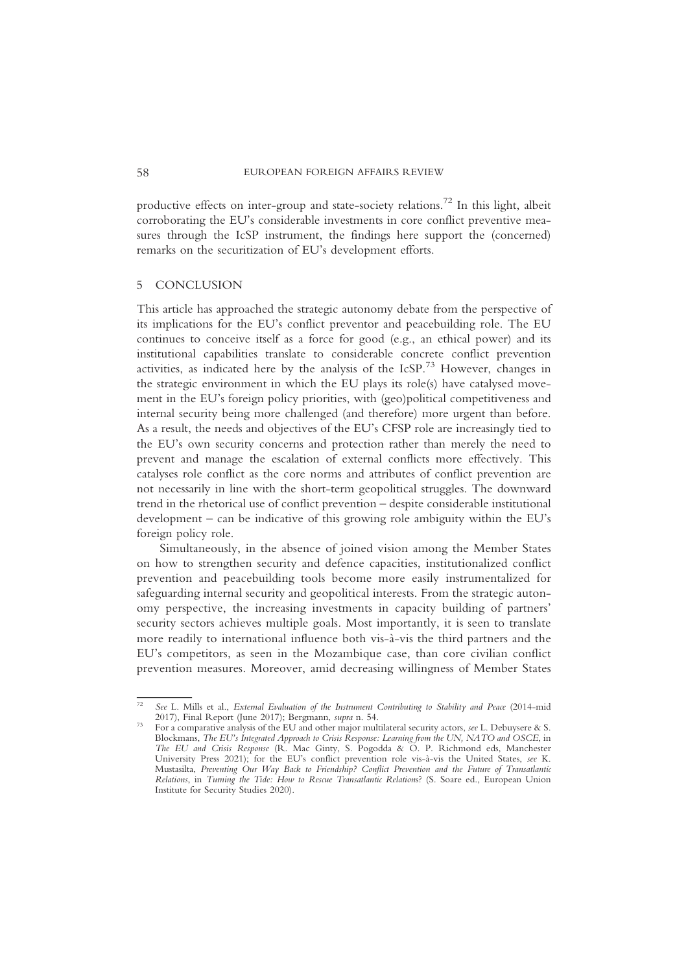productive effects on inter-group and state-society relations.<sup>72</sup> In this light, albeit corroborating the EU's considerable investments in core conflict preventive measures through the IcSP instrument, the findings here support the (concerned) remarks on the securitization of EU's development efforts.

#### 5 CONCLUSION

This article has approached the strategic autonomy debate from the perspective of its implications for the EU's conflict preventor and peacebuilding role. The EU continues to conceive itself as a force for good (e.g., an ethical power) and its institutional capabilities translate to considerable concrete conflict prevention activities, as indicated here by the analysis of the IcSP.<sup>73</sup> However, changes in the strategic environment in which the EU plays its role(s) have catalysed movement in the EU's foreign policy priorities, with (geo)political competitiveness and internal security being more challenged (and therefore) more urgent than before. As a result, the needs and objectives of the EU's CFSP role are increasingly tied to the EU's own security concerns and protection rather than merely the need to prevent and manage the escalation of external conflicts more effectively. This catalyses role conflict as the core norms and attributes of conflict prevention are not necessarily in line with the short-term geopolitical struggles. The downward trend in the rhetorical use of conflict prevention – despite considerable institutional development – can be indicative of this growing role ambiguity within the EU's foreign policy role.

Simultaneously, in the absence of joined vision among the Member States on how to strengthen security and defence capacities, institutionalized conflict prevention and peacebuilding tools become more easily instrumentalized for safeguarding internal security and geopolitical interests. From the strategic autonomy perspective, the increasing investments in capacity building of partners' security sectors achieves multiple goals. Most importantly, it is seen to translate more readily to international influence both vis-à-vis the third partners and the EU's competitors, as seen in the Mozambique case, than core civilian conflict prevention measures. Moreover, amid decreasing willingness of Member States

<sup>&</sup>lt;sup>72</sup> See L. Mills et al., *External Evaluation of the Instrument Contributing to Stability and Peace* (2014-mid 2017), Final Report (June 2017); Bergmann, *supra* n. 54.

<sup>2017),</sup> Final Report (June 2017); Bergmann, supra n. 54. <sup>73</sup> For a comparative analysis of the EU and other major multilateral security actors, see L. Debuysere & S. Blockmans, The EU's Integrated Approach to Crisis Response: Learning from the UN, NATO and OSCE, in The EU and Crisis Response (R. Mac Ginty, S. Pogodda & O. P. Richmond eds, Manchester University Press 2021); for the EU's conflict prevention role vis-à-vis the United States, see K. Mustasilta, Preventing Our Way Back to Friendship? Conflict Prevention and the Future of Transatlantic Relations, in Turning the Tide: How to Rescue Transatlantic Relations? (S. Soare ed., European Union Institute for Security Studies 2020).